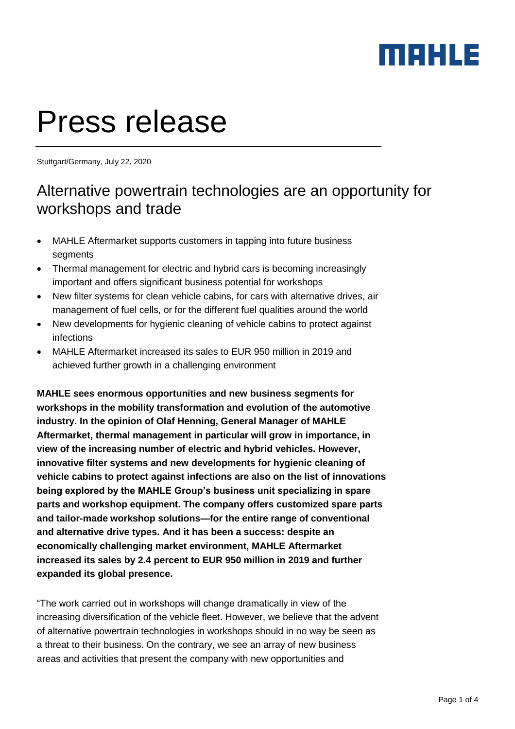# Press release

Stuttgart/Germany, July 22, 2020

#### Alternative powertrain technologies are an opportunity for workshops and trade

- MAHLE Aftermarket supports customers in tapping into future business segments
- Thermal management for electric and hybrid cars is becoming increasingly important and offers significant business potential for workshops
- New filter systems for clean vehicle cabins, for cars with alternative drives, air management of fuel cells, or for the different fuel qualities around the world
- New developments for hygienic cleaning of vehicle cabins to protect against infections
- MAHLE Aftermarket increased its sales to EUR 950 million in 2019 and achieved further growth in a challenging environment

**MAHLE sees enormous opportunities and new business segments for workshops in the mobility transformation and evolution of the automotive industry. In the opinion of Olaf Henning, General Manager of MAHLE Aftermarket, thermal management in particular will grow in importance, in view of the increasing number of electric and hybrid vehicles. However, innovative filter systems and new developments for hygienic cleaning of vehicle cabins to protect against infections are also on the list of innovations being explored by the MAHLE Group's business unit specializing in spare parts and workshop equipment. The company offers customized spare parts and tailor-made workshop solutions—for the entire range of conventional and alternative drive types. And it has been a success: despite an economically challenging market environment, MAHLE Aftermarket increased its sales by 2.4 percent to EUR 950 million in 2019 and further expanded its global presence.** 

"The work carried out in workshops will change dramatically in view of the increasing diversification of the vehicle fleet. However, we believe that the advent of alternative powertrain technologies in workshops should in no way be seen as a threat to their business. On the contrary, we see an array of new business areas and activities that present the company with new opportunities and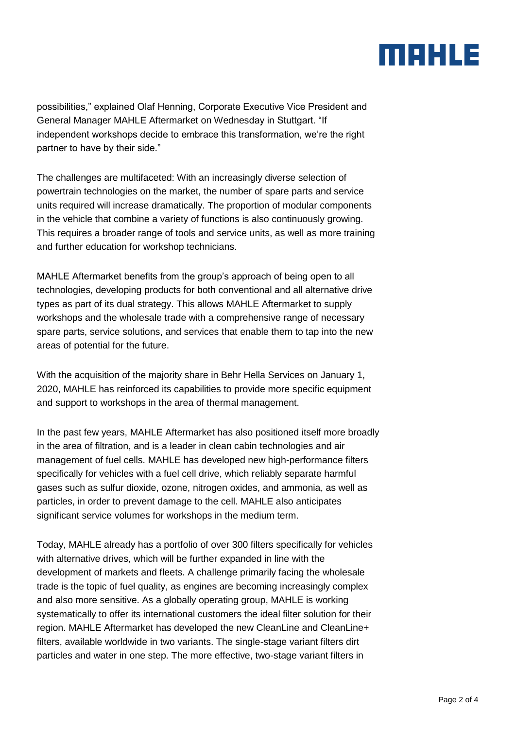possibilities," explained Olaf Henning, Corporate Executive Vice President and General Manager MAHLE Aftermarket on Wednesday in Stuttgart. "If independent workshops decide to embrace this transformation, we're the right partner to have by their side."

The challenges are multifaceted: With an increasingly diverse selection of powertrain technologies on the market, the number of spare parts and service units required will increase dramatically. The proportion of modular components in the vehicle that combine a variety of functions is also continuously growing. This requires a broader range of tools and service units, as well as more training and further education for workshop technicians.

MAHLE Aftermarket benefits from the group's approach of being open to all technologies, developing products for both conventional and all alternative drive types as part of its dual strategy. This allows MAHLE Aftermarket to supply workshops and the wholesale trade with a comprehensive range of necessary spare parts, service solutions, and services that enable them to tap into the new areas of potential for the future.

With the acquisition of the majority share in Behr Hella Services on January 1, 2020, MAHLE has reinforced its capabilities to provide more specific equipment and support to workshops in the area of thermal management.

In the past few years, MAHLE Aftermarket has also positioned itself more broadly in the area of filtration, and is a leader in clean cabin technologies and air management of fuel cells. MAHLE has developed new high-performance filters specifically for vehicles with a fuel cell drive, which reliably separate harmful gases such as sulfur dioxide, ozone, nitrogen oxides, and ammonia, as well as particles, in order to prevent damage to the cell. MAHLE also anticipates significant service volumes for workshops in the medium term.

Today, MAHLE already has a portfolio of over 300 filters specifically for vehicles with alternative drives, which will be further expanded in line with the development of markets and fleets. A challenge primarily facing the wholesale trade is the topic of fuel quality, as engines are becoming increasingly complex and also more sensitive. As a globally operating group, MAHLE is working systematically to offer its international customers the ideal filter solution for their region. MAHLE Aftermarket has developed the new CleanLine and CleanLine+ filters, available worldwide in two variants. The single-stage variant filters dirt particles and water in one step. The more effective, two-stage variant filters in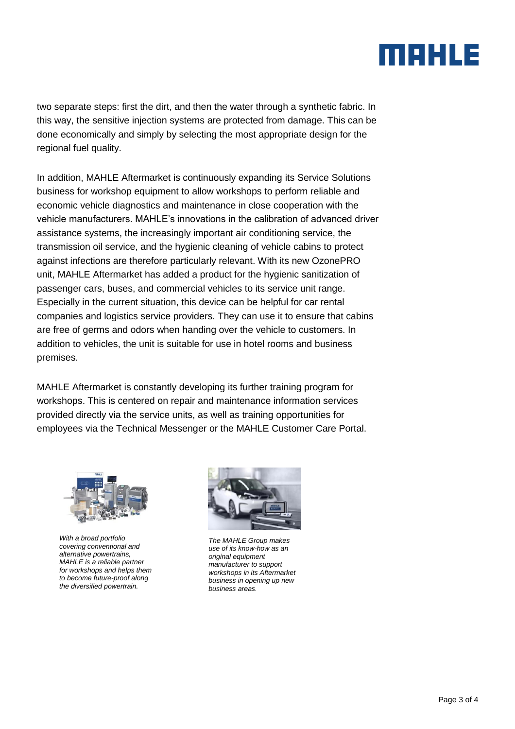two separate steps: first the dirt, and then the water through a synthetic fabric. In this way, the sensitive injection systems are protected from damage. This can be done economically and simply by selecting the most appropriate design for the regional fuel quality.

In addition, MAHLE Aftermarket is continuously expanding its Service Solutions business for workshop equipment to allow workshops to perform reliable and economic vehicle diagnostics and maintenance in close cooperation with the vehicle manufacturers. MAHLE's innovations in the calibration of advanced driver assistance systems, the increasingly important air conditioning service, the transmission oil service, and the hygienic cleaning of vehicle cabins to protect against infections are therefore particularly relevant. With its new OzonePRO unit, MAHLE Aftermarket has added a product for the hygienic sanitization of passenger cars, buses, and commercial vehicles to its service unit range. Especially in the current situation, this device can be helpful for car rental companies and logistics service providers. They can use it to ensure that cabins are free of germs and odors when handing over the vehicle to customers. In addition to vehicles, the unit is suitable for use in hotel rooms and business premises.

MAHLE Aftermarket is constantly developing its further training program for workshops. This is centered on repair and maintenance information services provided directly via the service units, as well as training opportunities for employees via the Technical Messenger or the MAHLE Customer Care Portal.



*With a broad portfolio covering conventional and alternative powertrains, MAHLE is a reliable partner for workshops and helps them to become future-proof along the diversified powertrain.*



*The MAHLE Group makes use of its know-how as an original equipment manufacturer to support workshops in its Aftermarket business in opening up new business areas.*